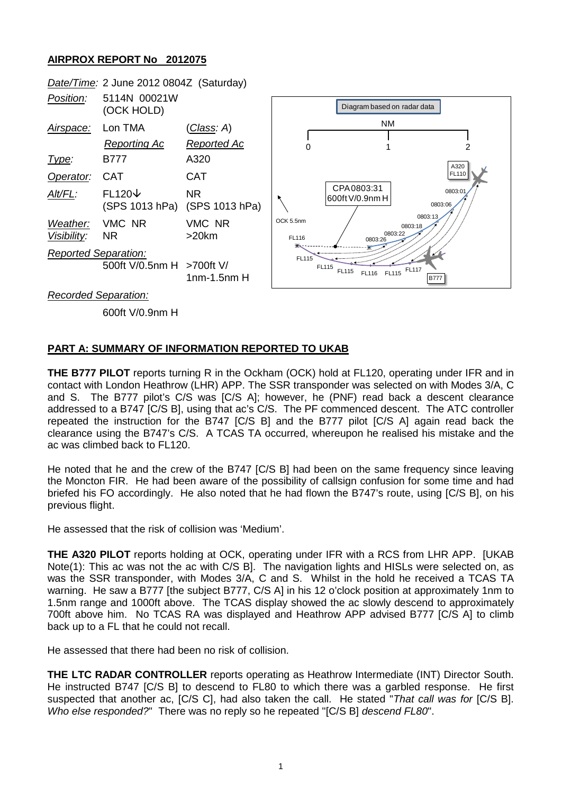## **AIRPROX REPORT No 2012075**



*Recorded Separation:*

600ft V/0.9nm H

## **PART A: SUMMARY OF INFORMATION REPORTED TO UKAB**

**THE B777 PILOT** reports turning R in the Ockham (OCK) hold at FL120, operating under IFR and in contact with London Heathrow (LHR) APP. The SSR transponder was selected on with Modes 3/A, C and S. The B777 pilot's C/S was [C/S A]; however, he (PNF) read back a descent clearance addressed to a B747 [C/S B], using that ac's C/S. The PF commenced descent. The ATC controller repeated the instruction for the B747 [C/S B] and the B777 pilot [C/S A] again read back the clearance using the B747's C/S. A TCAS TA occurred, whereupon he realised his mistake and the ac was climbed back to FL120.

He noted that he and the crew of the B747 [C/S B] had been on the same frequency since leaving the Moncton FIR. He had been aware of the possibility of callsign confusion for some time and had briefed his FO accordingly. He also noted that he had flown the B747's route, using [C/S B], on his previous flight.

He assessed that the risk of collision was 'Medium'.

**THE A320 PILOT** reports holding at OCK, operating under IFR with a RCS from LHR APP. [UKAB Note(1): This ac was not the ac with C/S B]. The navigation lights and HISLs were selected on, as was the SSR transponder, with Modes 3/A, C and S. Whilst in the hold he received a TCAS TA warning. He saw a B777 [the subject B777, C/S A] in his 12 o'clock position at approximately 1nm to 1.5nm range and 1000ft above. The TCAS display showed the ac slowly descend to approximately 700ft above him. No TCAS RA was displayed and Heathrow APP advised B777 [C/S A] to climb back up to a FL that he could not recall.

He assessed that there had been no risk of collision.

**THE LTC RADAR CONTROLLER** reports operating as Heathrow Intermediate (INT) Director South. He instructed B747 [C/S B] to descend to FL80 to which there was a garbled response. He first suspected that another ac, [C/S C], had also taken the call. He stated "*That call was for* [C/S B]. *Who else responded?*" There was no reply so he repeated "[C/S B] *descend FL80*".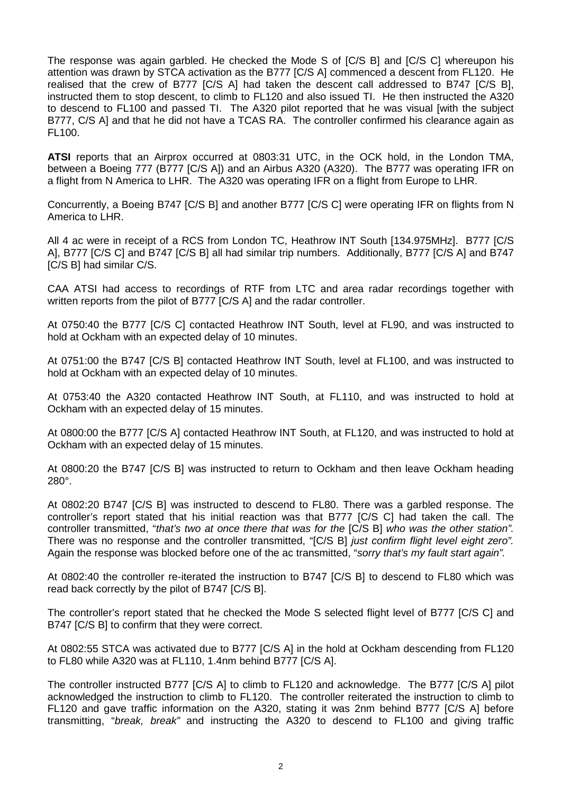The response was again garbled. He checked the Mode S of [C/S B] and [C/S C] whereupon his attention was drawn by STCA activation as the B777 [C/S A] commenced a descent from FL120. He realised that the crew of B777 [C/S A] had taken the descent call addressed to B747 [C/S B], instructed them to stop descent, to climb to FL120 and also issued TI. He then instructed the A320 to descend to FL100 and passed TI. The A320 pilot reported that he was visual [with the subject B777, C/S AI and that he did not have a TCAS RA. The controller confirmed his clearance again as FL100.

**ATSI** reports that an Airprox occurred at 0803:31 UTC, in the OCK hold, in the London TMA, between a Boeing 777 (B777 [C/S A]) and an Airbus A320 (A320). The B777 was operating IFR on a flight from N America to LHR. The A320 was operating IFR on a flight from Europe to LHR.

Concurrently, a Boeing B747 [C/S B] and another B777 [C/S C] were operating IFR on flights from N America to LHR.

All 4 ac were in receipt of a RCS from London TC, Heathrow INT South [134.975MHz]. B777 [C/S A], B777 [C/S C] and B747 [C/S B] all had similar trip numbers. Additionally, B777 [C/S A] and B747 [C/S B] had similar C/S.

CAA ATSI had access to recordings of RTF from LTC and area radar recordings together with written reports from the pilot of B777 [C/S A] and the radar controller.

At 0750:40 the B777 [C/S C] contacted Heathrow INT South, level at FL90, and was instructed to hold at Ockham with an expected delay of 10 minutes.

At 0751:00 the B747 [C/S B] contacted Heathrow INT South, level at FL100, and was instructed to hold at Ockham with an expected delay of 10 minutes.

At 0753:40 the A320 contacted Heathrow INT South, at FL110, and was instructed to hold at Ockham with an expected delay of 15 minutes.

At 0800:00 the B777 [C/S A] contacted Heathrow INT South, at FL120, and was instructed to hold at Ockham with an expected delay of 15 minutes.

At 0800:20 the B747 [C/S B] was instructed to return to Ockham and then leave Ockham heading 280°.

At 0802:20 B747 [C/S B] was instructed to descend to FL80. There was a garbled response. The controller's report stated that his initial reaction was that B777 [C/S C] had taken the call. The controller transmitted, "*that's two at once there that was for the* [C/S B] *who was the other station".*  There was no response and the controller transmitted, "[C/S B] *just confirm flight level eight zero".* Again the response was blocked before one of the ac transmitted, "*sorry that's my fault start again".*

At 0802:40 the controller re-iterated the instruction to B747 [C/S B] to descend to FL80 which was read back correctly by the pilot of B747 [C/S B].

The controller's report stated that he checked the Mode S selected flight level of B777 [C/S C] and B747 [C/S B] to confirm that they were correct.

At 0802:55 STCA was activated due to B777 [C/S A] in the hold at Ockham descending from FL120 to FL80 while A320 was at FL110, 1.4nm behind B777 [C/S A].

The controller instructed B777 [C/S A] to climb to FL120 and acknowledge. The B777 [C/S A] pilot acknowledged the instruction to climb to FL120. The controller reiterated the instruction to climb to FL120 and gave traffic information on the A320, stating it was 2nm behind B777 [C/S A] before transmitting, "*break, break"* and instructing the A320 to descend to FL100 and giving traffic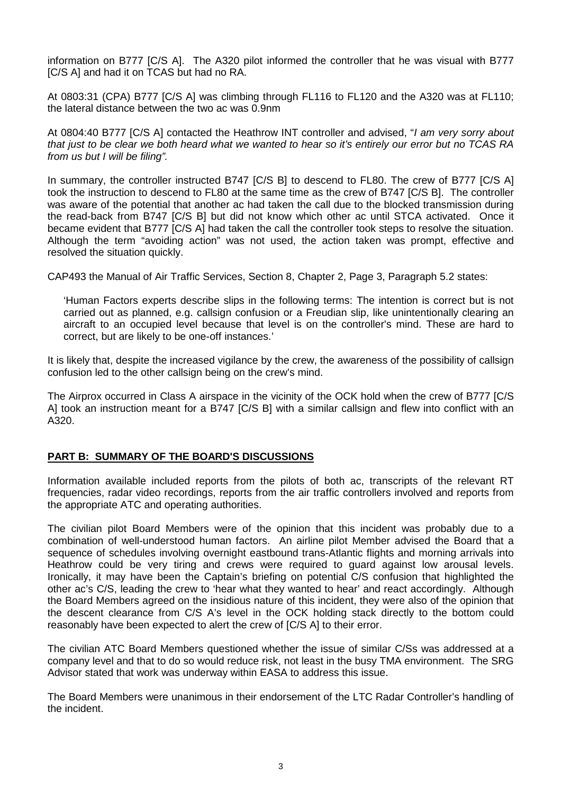information on B777 [C/S A]. The A320 pilot informed the controller that he was visual with B777 [C/S A] and had it on TCAS but had no RA.

At 0803:31 (CPA) B777 [C/S A] was climbing through FL116 to FL120 and the A320 was at FL110; the lateral distance between the two ac was 0.9nm

At 0804:40 B777 [C/S A] contacted the Heathrow INT controller and advised, "*I am very sorry about that just to be clear we both heard what we wanted to hear so it's entirely our error but no TCAS RA from us but I will be filing".*

In summary, the controller instructed B747 [C/S B] to descend to FL80. The crew of B777 [C/S A] took the instruction to descend to FL80 at the same time as the crew of B747 [C/S B]. The controller was aware of the potential that another ac had taken the call due to the blocked transmission during the read-back from B747 [C/S B] but did not know which other ac until STCA activated. Once it became evident that B777 [C/S A] had taken the call the controller took steps to resolve the situation. Although the term "avoiding action" was not used, the action taken was prompt, effective and resolved the situation quickly.

CAP493 the Manual of Air Traffic Services, Section 8, Chapter 2, Page 3, Paragraph 5.2 states:

'Human Factors experts describe slips in the following terms: The intention is correct but is not carried out as planned, e.g. callsign confusion or a Freudian slip, like unintentionally clearing an aircraft to an occupied level because that level is on the controller's mind. These are hard to correct, but are likely to be one-off instances.'

It is likely that, despite the increased vigilance by the crew, the awareness of the possibility of callsign confusion led to the other callsign being on the crew's mind.

The Airprox occurred in Class A airspace in the vicinity of the OCK hold when the crew of B777 [C/S A] took an instruction meant for a B747 [C/S B] with a similar callsign and flew into conflict with an A320.

## **PART B: SUMMARY OF THE BOARD'S DISCUSSIONS**

Information available included reports from the pilots of both ac, transcripts of the relevant RT frequencies, radar video recordings, reports from the air traffic controllers involved and reports from the appropriate ATC and operating authorities.

The civilian pilot Board Members were of the opinion that this incident was probably due to a combination of well-understood human factors. An airline pilot Member advised the Board that a sequence of schedules involving overnight eastbound trans-Atlantic flights and morning arrivals into Heathrow could be very tiring and crews were required to guard against low arousal levels. Ironically, it may have been the Captain's briefing on potential C/S confusion that highlighted the other ac's C/S, leading the crew to 'hear what they wanted to hear' and react accordingly. Although the Board Members agreed on the insidious nature of this incident, they were also of the opinion that the descent clearance from C/S A's level in the OCK holding stack directly to the bottom could reasonably have been expected to alert the crew of [C/S A] to their error.

The civilian ATC Board Members questioned whether the issue of similar C/Ss was addressed at a company level and that to do so would reduce risk, not least in the busy TMA environment. The SRG Advisor stated that work was underway within EASA to address this issue.

The Board Members were unanimous in their endorsement of the LTC Radar Controller's handling of the incident.